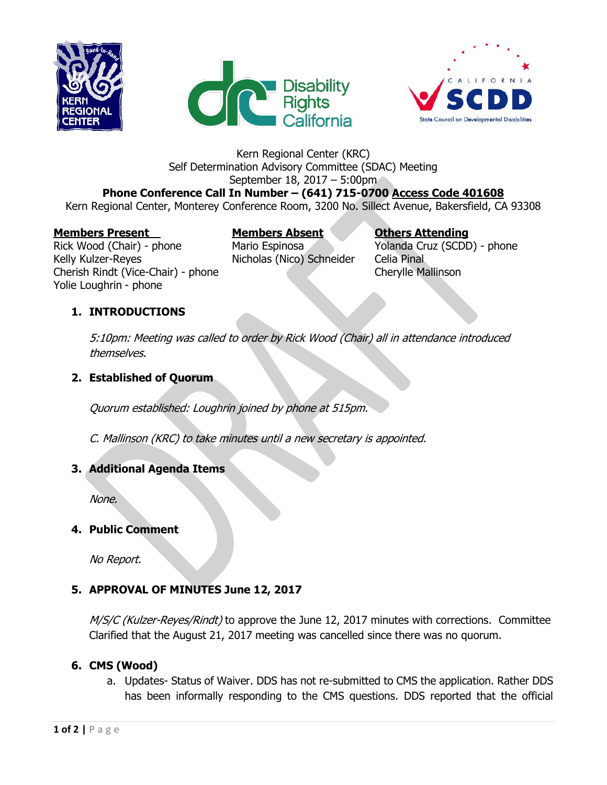





### Kern Regional Center (KRC) Self Determination Advisory Committee (SDAC) Meeting September 18, 2017 – 5:00pm

# **Phone Conference Call In Number – (641) 715-0700 Access Code 401608**

Kern Regional Center, Monterey Conference Room, 3200 No. Sillect Avenue, Bakersfield, CA 93308

#### **Members Present Members Absent Others Attending**

Rick Wood (Chair) - phone Mario Espinosa Yolanda Cruz (SCDD) - phone Kelly Kulzer-Reyes **Nicholas (Nico) Schneider** Celia Pinal Cherish Rindt (Vice-Chair) - phone Cherylle Mallinson Yolie Loughrin - phone

## **1. INTRODUCTIONS**

5:10pm: Meeting was called to order by Rick Wood (Chair) all in attendance introduced themselves.

## **2. Established of Quorum**

Quorum established: Loughrin joined by phone at 515pm.

C. Mallinson (KRC) to take minutes until a new secretary is appointed.

## **3. Additional Agenda Items**

None.

#### **4. Public Comment**

No Report.

# **5. APPROVAL OF MINUTES June 12, 2017**

M/S/C (Kulzer-Reyes/Rindt) to approve the June 12, 2017 minutes with corrections. Committee Clarified that the August 21, 2017 meeting was cancelled since there was no quorum.

# **6. CMS (Wood)**

a. Updates- Status of Waiver. DDS has not re-submitted to CMS the application. Rather DDS has been informally responding to the CMS questions. DDS reported that the official